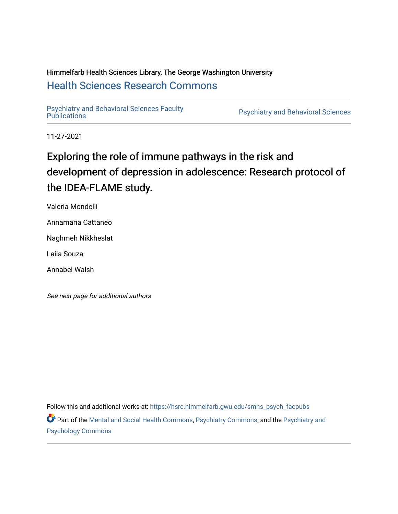# Himmelfarb Health Sciences Library, The George Washington University [Health Sciences Research Commons](https://hsrc.himmelfarb.gwu.edu/)

[Psychiatry and Behavioral Sciences Faculty](https://hsrc.himmelfarb.gwu.edu/smhs_psych_facpubs)

Psychiatry and Behavioral Sciences

11-27-2021

# Exploring the role of immune pathways in the risk and development of depression in adolescence: Research protocol of the IDEA-FLAME study.

Valeria Mondelli

Annamaria Cattaneo

Naghmeh Nikkheslat

Laila Souza

Annabel Walsh

See next page for additional authors

Follow this and additional works at: [https://hsrc.himmelfarb.gwu.edu/smhs\\_psych\\_facpubs](https://hsrc.himmelfarb.gwu.edu/smhs_psych_facpubs?utm_source=hsrc.himmelfarb.gwu.edu%2Fsmhs_psych_facpubs%2F1822&utm_medium=PDF&utm_campaign=PDFCoverPages)

Part of the [Mental and Social Health Commons,](http://network.bepress.com/hgg/discipline/709?utm_source=hsrc.himmelfarb.gwu.edu%2Fsmhs_psych_facpubs%2F1822&utm_medium=PDF&utm_campaign=PDFCoverPages) [Psychiatry Commons](http://network.bepress.com/hgg/discipline/704?utm_source=hsrc.himmelfarb.gwu.edu%2Fsmhs_psych_facpubs%2F1822&utm_medium=PDF&utm_campaign=PDFCoverPages), and the [Psychiatry and](http://network.bepress.com/hgg/discipline/908?utm_source=hsrc.himmelfarb.gwu.edu%2Fsmhs_psych_facpubs%2F1822&utm_medium=PDF&utm_campaign=PDFCoverPages) [Psychology Commons](http://network.bepress.com/hgg/discipline/908?utm_source=hsrc.himmelfarb.gwu.edu%2Fsmhs_psych_facpubs%2F1822&utm_medium=PDF&utm_campaign=PDFCoverPages)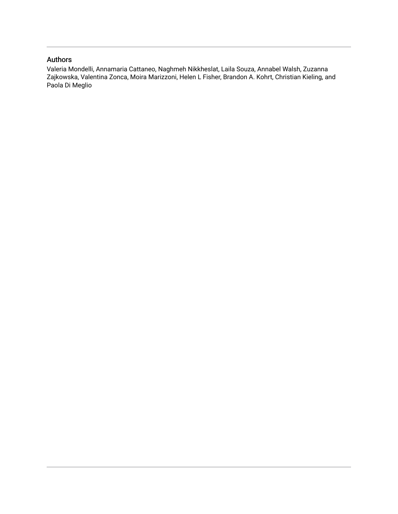### Authors

Valeria Mondelli, Annamaria Cattaneo, Naghmeh Nikkheslat, Laila Souza, Annabel Walsh, Zuzanna Zajkowska, Valentina Zonca, Moira Marizzoni, Helen L Fisher, Brandon A. Kohrt, Christian Kieling, and Paola Di Meglio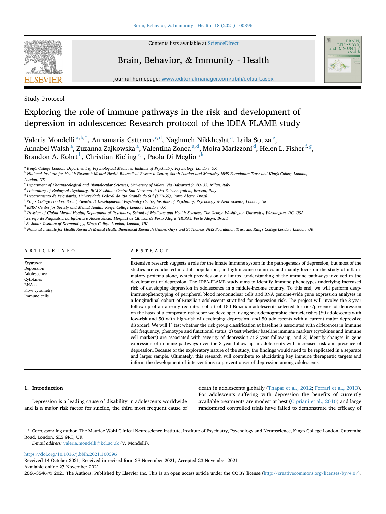

Contents lists available at [ScienceDirect](www.sciencedirect.com/science/journal/26663546)

## Brain, Behavior, & Immunity - Health



journal homepage: <www.editorialmanager.com/bbih/default.aspx>

Study Protocol

## Exploring the role of immune pathways in the risk and development of depression in adolescence: Research protocol of the IDEA-FLAME study

V[a](#page-2-0)leria Mondelli<sup>a, [b](#page-2-1), [\\*](#page-2-2)</sup>, Annamaria Cattaneo <sup>[c,](#page-2-3) [d](#page-2-4)</sup>, Naghm[e](#page-2-5)h Nikkheslat <sup>a</sup>, Laila Souza <sup>e</sup>, Ann[a](#page-2-0)bel Walsh <sup>a</sup>, Zuzanna Zajkowska <sup>a</sup>, Valentina Zonca <sup>a,[d](#page-2-4)</sup>, Moira Marizzoni <sup>d</sup>, Helen L. Fisher <sup>[f](#page-2-6), [g](#page-2-7)</sup>, Brandon A. Ko[h](#page-2-8)rt $^{\rm h}$ , Chr[i](#page-2-9)stian Kieling $^{\rm e,i}$  $^{\rm e,i}$  $^{\rm e,i}$ , Paola Di Meglio $^{\rm j,k}$  $^{\rm j,k}$  $^{\rm j,k}$  $^{\rm j,k}$  $^{\rm j,k}$ 

<span id="page-2-0"></span><sup>a</sup> King's College London, Department of Psychological Medicine, Institute of Psychiatry, Psychology, London, UK

<span id="page-2-1"></span>**b National Institute for Health Research Mental Health Biomedical Research Centre, South London and Maudsley NHS Foundation Trust and King's College London,** London, UK

<span id="page-2-3"></span> $^{\rm c}$  Department of Pharmacological and Biomolecular Sciences, University of Milan, Via Balzaretti 9, 20133, Milan, Italy

<span id="page-2-4"></span><sup>d</sup> Laboratory of Biological Psychiatry, IRCCS Istituto Centro San Giovanni di Dio Fatebenefratelli, Brescia, Italy

<span id="page-2-5"></span><sup>e</sup> Departamento de Psiquiatria, Universidade Federal do Rio Grande do Sul (UFRGS), Porto Alegre, Brazil

<span id="page-2-6"></span><sup>f</sup> King's College London, Social, Genetic & Developmental Psychiatry Centre, Institute of Psychiatry, Psychology & Neuroscience, London, UK

<span id="page-2-7"></span><sup>g</sup> ESRC Centre for Society and Mental Health, King's College London, London, UK

<span id="page-2-8"></span>h Division of Global Mental Health, Department of Psychiatry, School of Medicine and Health Sciences, The George Washington University, Washington, DC, USA

<span id="page-2-9"></span><sup>i</sup> Serviço de Psiquiatria da Infância e Adolescência, Hospital de Clínicas de Porto Alegre (HCPA), Porto Alegre, Brazil

<span id="page-2-10"></span><sup>j</sup> St John's Institute of Dermatology, King's College London, London, UK

<span id="page-2-11"></span><sup>k</sup> National Institute for Health Research Mental Health Biomedical Research Centre, Guy's and St Thomas' NHS Foundation Trust and King's College London, London, UK

#### ARTICLE INFO

Keywords: Depression Adolescence Cytokines RNAseq Flow cytometry Immune cells

ABSTRACT

Extensive research suggests a role for the innate immune system in the pathogenesis of depression, but most of the studies are conducted in adult populations, in high-income countries and mainly focus on the study of inflammatory proteins alone, which provides only a limited understanding of the immune pathways involved in the development of depression. The IDEA-FLAME study aims to identify immune phenotypes underlying increased risk of developing depression in adolescence in a middle-income country. To this end, we will perform deepimmunophenotyping of peripheral blood mononuclear cells and RNA genome-wide gene expression analyses in a longitudinal cohort of Brazilian adolescents stratified for depression risk. The project will involve the 3-year follow-up of an already recruited cohort of 150 Brazilian adolescents selected for risk/presence of depression on the basis of a composite risk score we developed using sociodemographic characteristics (50 adolescents with low-risk and 50 with high-risk of developing depression, and 50 adolescents with a current major depressive disorder). We will 1) test whether the risk group classification at baseline is associated with differences in immune cell frequency, phenotype and functional status, 2) test whether baseline immune markers (cytokines and immune cell markers) are associated with severity of depression at 3-year follow-up, and 3) identify changes in gene expression of immune pathways over the 3-year follow-up in adolescents with increased risk and presence of depression. Because of the exploratory nature of the study, the findings would need to be replicated in a separate and larger sample. Ultimately, this research will contribute to elucidating key immune therapeutic targets and inform the development of interventions to prevent onset of depression among adolescents.

#### 1. Introduction

Depression is a leading cause of disability in adolescents worldwide and is a major risk factor for suicide, the third most frequent cause of death in adolescents globally [\(Thapar et al., 2012](#page-7-0); [Ferrari et al., 2013\)](#page-7-1). For adolescents suffering with depression the benefits of currently available treatments are modest at best [\(Cipriani et al., 2016\)](#page-7-2) and large randomised controlled trials have failed to demonstrate the efficacy of

<https://doi.org/10.1016/j.bbih.2021.100396>

Received 14 October 2021; Received in revised form 23 November 2021; Accepted 23 November 2021 Available online 27 November 2021

2666-3546/© 2021 The Authors. Published by Elsevier Inc. This is an open access article under the CC BY license [\(http://creativecommons.org/licenses/by/4.0/](http://creativecommons.org/licenses/by/4.0/)).

<span id="page-2-2"></span><sup>\*</sup> Corresponding author. The Maurice Wohl Clinical Neuroscience Institute, Institute of Psychiatry, Psychology and Neuroscience, King's College London. Cutcombe Road, London, SE5 9RT, UK.

E-mail address: [valeria.mondelli@kcl.ac.uk](mailto:valeria.mondelli@kcl.ac.uk) (V. Mondelli).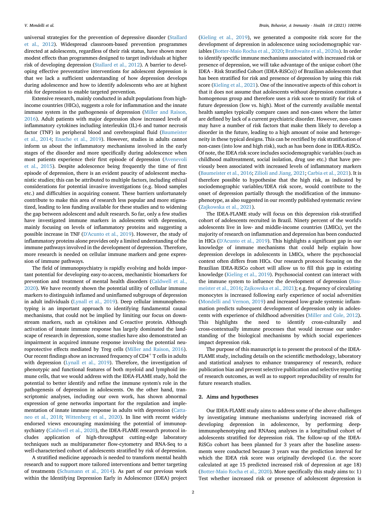universal strategies for the prevention of depressive disorder ([Stallard](#page-7-3) [et al., 2012](#page-7-3)). Widespread classroom-based prevention programmes directed at adolescents, regardless of their risk status, have shown more modest effects than programmes designed to target individuals at higher risk of developing depression [\(Stallard et al., 2012\)](#page-7-3). A barrier to developing effective preventative interventions for adolescent depression is that we lack a sufficient understanding of how depression develops during adolescence and how to identify adolescents who are at highest risk for depression to enable targeted prevention.

Extensive research, mainly conducted in adult populations from highincome countries (HICs), suggests a role for inflammation and the innate immune system in the pathogenesis of depression ([Miller and Raison,](#page-7-4) [2016\)](#page-7-4). Adult patients with major depression show increased levels of inflammatory cytokines including interleukin (IL)-6 and tumor necrosis factor (TNF) in peripheral blood and cerebrospinal fluid ([Baumeister](#page-7-5) [et al., 2014;](#page-7-5) [Enache et al., 2019](#page-7-6)). However, studies in adults cannot inform us about the inflammatory mechanisms involved in the early stages of the disorder and more specifically during adolescence when most patients experience their first episode of depression ([Avenevoli](#page-7-7) [et al., 2015\)](#page-7-7). Despite adolescence being frequently the time of first episode of depression, there is an evident paucity of adolescent mechanistic studies; this can be attributed to multiple factors, including ethical considerations for potential invasive investigations (e.g. blood samples etc.) and difficulties in acquiring consent. These barriers unfortunately contribute to make this area of research less popular and more stigmatized, leading to less funding available for these studies and to widening the gap between adolescent and adult research. So far, only a few studies have investigated immune markers in adolescents with depression, mainly focusing on levels of inflammatory proteins and suggesting a possible increase in TNF ([D'Acunto et al., 2019](#page-7-8)). However, the study of inflammatory proteins alone provides only a limited understanding of the immune pathways involved in the development of depression. Therefore, more research is needed on cellular immune markers and gene expression of immune pathways.

The field of immunopsychiatry is rapidly evolving and holds important potential for developing easy-to-access, mechanistic biomarkers for prevention and treatment of mental health disorders [\(Caldwell et al.,](#page-7-9) [2020\)](#page-7-9). We have recently shown the potential utility of cellular immune markers to distinguish inflamed and uninflamed subgroups of depression in adult individuals ([Lynall et al., 2019\)](#page-7-10). Deep cellular immunophenotyping is an important approach to identifying fundamental causal mechanisms, that could not be implied by limiting our focus on downstream markers, such as cytokines and C-reactive protein. Although activation of innate immune response has largely dominated the landscape of research in depression, some studies have also demonstrated an impairment in acquired immune response involving the potential neuroprotective effects mediated by Treg cells ([Miller and Raison, 2016\)](#page-7-4). Our recent findings show an increased frequency of  $CD4^+$  T cells in adults with depression [\(Lynall et al., 2019](#page-7-10)). Therefore, the investigation of phenotypic and functional features of both myeloid and lymphoid immune cells, that we would address with the IDEA-FLAME study, hold the potential to better identify and refine the immune system's role in the pathogenesis of depression in adolescents. On the other hand, transcriptomic analyses, including our own work, has shown abnormal expression of gene networks important for the regulation and implementation of innate immune response in adults with depression ([Catta](#page-7-11)[neo et al., 2018;](#page-7-11) [Wittenberg et al., 2020](#page-7-12)). In line with recent widely endorsed views encouraging maximising the potential of immunopsychiatry ([Caldwell et al., 2020](#page-7-9)), the IDEA-FLAME research protocol includes application of high-throughput cutting-edge laboratory techniques such as multiparameter flow-cytometry and RNA-Seq to a well-characterised cohort of adolescents stratified by risk of depression.

A stratified medicine approach is needed to transform mental health research and to support more tailored interventions and better targeting of treatments ([Schumann et al., 2014\)](#page-7-13). As part of our previous work within the Identifying Depression Early in Adolescence (IDEA) project

([Kieling et al., 2019](#page-7-14)), we generated a composite risk score for the development of depression in adolescence using sociodemographic variables [\(Botter-Maio Rocha et al., 2020;](#page-7-15) [Brathwaite et al., 2020a](#page-7-16)). In order to identify specific immune mechanisms associated with increased risk or presence of depression, we will take advantage of the unique cohort (the IDEA - Risk Stratified Cohort (IDEA-RiSCo)) of Brazilian adolescents that has been stratified for risk and presence of depression by using this risk score [\(Kieling et al., 2021\)](#page-7-17). One of the innovative aspects of this cohort is that it does not assume that adolescents without depression constitute a homogenous group and therefore uses a risk score to stratify for risk of future depression (low vs. high). Most of the currently available mental health samples typically compare cases and non-cases where the latter are defined by lack of a current psychiatric disorder. However, non-cases may have a number of risk factors that make them likely to develop a disorder in the future, leading to a high amount of noise and heterogeneity in these typical designs. This can be rectified by risk stratification of non-cases (into low and high risk), such as has been done in IDEA-RiSCo. Of note, the IDEA risk score includes sociodemographic variables (such as childhood maltreatment, social isolation, drug use etc.) that have previously been associated with increased levels of inflammatory markers ([Baumeister et al., 2016](#page-7-18); [Zilioli and Jiang, 2021;](#page-7-19) [Carbia et al., 2021](#page-7-20)). It is therefore possible to hypothesise that the high risk, as indicated by sociodemographic variables/IDEA risk score, would contribute to the onset of depression partially through the modification of the immunophenotype, as also suggested in our recently published systematic review ([Zajkowska et al., 2021\)](#page-7-21).

The IDEA-FLAME study will focus on this depression risk-stratified cohort of adolescents recruited in Brazil. Ninety percent of the world's adolescents live in low- and middle-income countries (LMICs), yet the majority of research on inflammation and depression has been conducted in HICs [\(D'Acunto et al., 2019\)](#page-7-8). This highlights a significant gap in our knowledge of immune mechanisms that could help explain how depression develops in adolescents in LMICs, where the psychosocial context often differs from HICs. Our research protocol focusing on the Brazilian IDEA-RiSCo cohort will allow us to fill this gap in existing knowledge ([Kieling et al., 2019\)](#page-7-14). Psychosocial context can interact with the immune system to influence the development of depression ([Bau](#page-7-18)[meister et al., 2016;](#page-7-18) [Zajkowska et al., 2021](#page-7-21)); e.g. frequency of circulating monocytes is increased following early experience of social adversities ([Mondelli and Vernon, 2019\)](#page-7-22) and increased low-grade systemic inflammation predicts subsequent development of depression only in adolescents with experience of childhood adversities [\(Miller and Cole, 2012\)](#page-7-23). This highlights the need to identify cross-culturally and cross-contextually immune processes that would increase our understanding of the biological mechanisms by which social experiences impact depression risk.

The purpose of this manuscript is to present the protocol of the IDEA-FLAME study, including details on the scientific methodology, laboratory and statistical analyses to enhance transparency of research, reduce publication bias and prevent selective publication and selective reporting of research outcomes, as well as to support reproducibility of results for future research studies.

#### 2. Aims and hypotheses

Our IDEA-FLAME study aims to address some of the above challenges by investigating immune mechanisms underlying increased risk of developing depression in adolescence, by performing deepimmunophenotyping and RNAseq analyses in a longitudinal cohort of adolescents stratified for depression risk. The follow-up of the IDEA-RiSCo cohort has been planned for 3 years after the baseline assessments were conducted because 3 years was the prediction interval for which the IDEA risk score was originally developed (i.e. the score calculated at age 15 predicted increased risk of depression at age 18) ([Botter-Maio Rocha et al., 2020](#page-7-15)). More specifically this study aims to: 1) Test whether increased risk or presence of adolescent depression is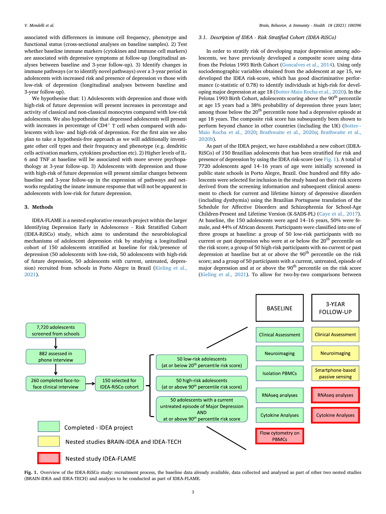associated with differences in immune cell frequency, phenotype and functional status (cross-sectional analyses on baseline samples). 2) Test whether baseline immune markers (cytokines and immune cell markers) are associated with depressive symptoms at follow-up (longitudinal analyses between baseline and 3-year follow-up). 3) Identify changes in immune pathways (or to identify novel pathways) over a 3-year period in adolescents with increased risk and presence of depression vs those with low-risk of depression (longitudinal analyses between baseline and 3-year follow-up).

We hypothesise that: 1) Adolescents with depression and those with high-risk of future depression will present increases in percentage and activity of classical and non-classical monocytes compared with low-risk adolescents. We also hypothesise that depressed adolescents will present with increases in percentage of  $CD4^+$  T cell when compared with adolescents with low- and high-risk of depression. For the first aim we also plan to take a hypothesis-free approach as we will additionally investigate other cell types and their frequency and phenotype (e.g. dendritic cells activation markers, cytokines production etc). 2) Higher levels of IL-6 and TNF at baseline will be associated with more severe psychopathology at 3-year follow-up. 3) Adolescents with depression and those with high-risk of future depression will present similar changes between baseline and 3-year follow-up in the expression of pathways and networks regulating the innate immune response that will not be apparent in adolescents with low-risk for future depression.

#### 3. Methods

IDEA-FLAME is a nested explorative research project within the larger Identifying Depression Early in Adolescence - Risk Stratified Cohort (IDEA-RiSCo) study, which aims to understand the neurobiological mechanisms of adolescent depression risk by studying a longitudinal cohort of 150 adolescents stratified at baseline for risk/presence of depression (50 adolescents with low-risk, 50 adolescents with high-risk of future depression, 50 adolescents with current, untreated, depression) recruited from schools in Porto Alegre in Brazil ([Kieling et al.,](#page-7-17) [2021\)](#page-7-17).

#### 3.1. Description of IDEA - Risk Stratified Cohort (IDEA-RiSCo)

In order to stratify risk of developing major depression among adolescents, we have previously developed a composite score using data from the Pelotas 1993 Birth Cohort [\(Goncalves et al., 2014\)](#page-7-24). Using only sociodemographic variables obtained from the adolescent at age 15, we developed the IDEA risk-score, which has good discriminative performance (c-statistic of 0.78) to identify individuals at high-risk for developing major depression at age 18 [\(Botter-Maio Rocha et al., 2020\)](#page-7-15). In the Pelotas 1993 Birth Cohort, adolescents scoring above the 90<sup>th</sup> percentile at age 15 years had a 38% probability of depression three years later; among those below the 20<sup>th</sup> percentile none had a depressive episode at age 18 years. The composite risk score has subsequently been shown to perform beyond chance in other countries (including the UK) [\(Botter--](#page-7-15) [Maio Rocha et al., 2020](#page-7-15); [Brathwaite et al., 2020a](#page-7-16); [Brathwaite et al.,](#page-7-25) [2020b\)](#page-7-25).

As part of the IDEA project, we have established a new cohort (IDEA-RiSCo) of 150 Brazilian adolescents that has been stratified for risk and presence of depression by using the IDEA risk-score (see [Fig. 1](#page-4-0)). A total of As part of the IDEA project, we have established a new cohort (IDEA<br>RiSCo) of 150 Brazilian adolescents that has been stratified for risk and<br>presence of depression by using the IDEA risk-score (see Fig. 1). A total of<br>772 public state schools in Porto Alegre, Brazil. One hundred and fifty adolescents were selected for inclusion in the study based on their risk scores derived from the screening information and subsequent clinical assessment to check for current and lifetime history of depressive disorders (including dysthymia) using the Brazilian Portuguese translation of the Schedule for Affective Disorders and Schizophrenia for School-Age Children-Present and Lifetime Version (K-SADS-PL) (Caye et al., 2017). At baseline, Schedule for Affective Disorders and Schizophrenia for School-Age Children-Present and Lifetime Version (K-SADS-PL) ([Caye et al., 2017\)](#page-7-26). male, and 44% of African descent. Participants were classified into one of three groups at baseline: a group of 50 low-risk participants with no current or past depression who were at or below the 20<sup>th</sup> percentile on the risk score; a group of 50 high-risk participants with no current or past depression at baseline but at or above the  $90<sup>th</sup>$  percentile on the risk score; and a group of 50 participants with a current, untreated, episode of major depression and at or above the 90<sup>th</sup> percentile on the risk score ([Kieling et al., 2021](#page-7-17)). To allow for two-by-two comparisons between

<span id="page-4-0"></span>

Fig. 1. Overview of the IDEA-RiSCo study: recruitment process, the baseline data already available, data collected and analysed as part of other two nested studies (BRAIN-IDEA and IDEA-TECH) and analyses to be conducted as part of IDEA-FLAME.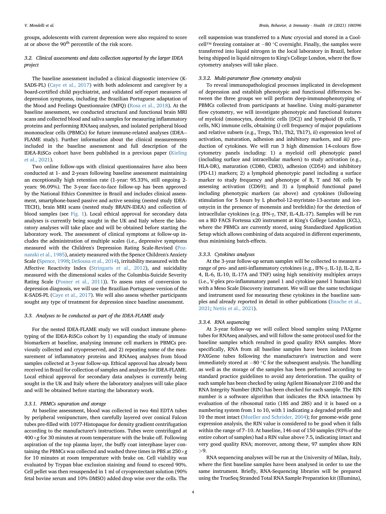groups, adolescents with current depression were also required to score at or above the  $90<sup>th</sup>$  percentile of the risk score.

#### 3.2. Clinical assessments and data collection supported by the larger IDEA project

The baseline assessment included a clinical diagnostic interview (K-SADS-PL) ([Caye et al., 2017](#page-7-26)) with both adolescent and caregiver by a board-certified child psychiatrist, and validated self-report measures of depression symptoms, including the Brazilian Portuguese adaptation of the Mood and Feelings Questionnaire (MFQ) [\(Rosa et al., 2018](#page-7-27)). At the baseline assessment, we conducted structural and functional brain MRI scans and collected blood and saliva samples for measuring inflammatory proteins and performing RNAseq analyses, and isolated peripheral blood mononuclear cells (PBMCs) for future immune-related analyses (IDEA-- FLAME study). Further information about the clinical measurements included in the baseline assessment and full description of the IDEA-RiSCo cohort have been published in a previous paper ([Kieling](#page-7-17) [et al., 2021](#page-7-17)).

Two online follow-ups with clinical questionnaires have also been conducted at 1- and 2-years following baseline assessment maintaining an exceptionally high retention rate (1-year: 95.33%, still ongoing 2 years: 96.09%). The 3-year face-to-face follow-up has been approved by the National Ethics Committee in Brazil and includes clinical assessment, smartphone-based passive and active sensing (nested study IDEA-TECH), brain MRI scans (nested study BRAIN-IDEA) and collection of blood samples (see [Fig. 1](#page-4-0)). Local ethical approval for secondary data analyses is currently being sought in the UK and Italy where the laboratory analyses will take place and will be obtained before starting the laboratory work. The assessment of clinical symptoms at follow-up includes the administration of multiple scales (i.e., depressive symptoms measured with the Children's Depression Rating Scale-Revised ([Poz](#page-7-28)[nanski et al., 1985](#page-7-28)), anxiety measured with the Spence Children's Anxiety Scale [\(Spence, 1998;](#page-7-29) [DeSousa et al., 2014](#page-7-30)), irritability measured with the Affective Reactivity Index [\(Stringaris et al., 2012\)](#page-7-31), and suicidality measured with the dimensional scales of the Columbia-Suicide Severity Rating Scale [\(Posner et al., 2011](#page-7-32))). To assess rates of conversion to depression diagnosis, we will use the Brazilian Portuguese version of the K-SADS-PL ([Caye et al., 2017](#page-7-26)). We will also assess whether participants sought any type of treatment for depression since baseline assessment.

#### 3.3. Analyses to be conducted as part of the IDEA-FLAME study

For the nested IDEA-FLAME study we will conduct immune phenotyping of the IDEA-RiSCo cohort by 1) expanding the study of immune biomarkers at baseline, analysing immune cell markers in PBMCs previously collected and cryopreserved, and 2) repeating some of the measurement of inflammatory proteins and RNAseq analyses from blood samples collected at 3-year follow-up. Ethical approval has already been received in Brazil for collection of samples and analyses for IDEA-FLAME. Local ethical approval for secondary data analyses is currently being sought in the UK and Italy where the laboratory analyses will take place and will be obtained before starting the laboratory work.

#### 3.3.1. PBMCs separation and storage

At baseline assessment, blood was collected in two 4ml EDTA tubes by peripheral venipuncture, then carefully layered over conical Falcon tubes pre-filled with 1077-Histopaque for density gradient centrifugation according to the manufacturer's instructions. Tubes were centrifuged at  $400\times$ g for 30 minutes at room temperature with the brake off. Following aspiration of the top plasma layer, the buffy coat interphase layer containing the PBMCs was collected and washed three times in PBS at  $250{\times}g$ for 10 minutes at room temperature with brake on. Cell viability was evaluated by Trypan blue exclusion staining and found to exceed 90%. Cell pellet was then resuspended in 1 ml of cryoprotectant solution (90% fetal bovine serum and 10% DMSO) added drop wise over the cells. The

cell suspension was transferred to a Nunc cryovial and stored in a Coolcell™ freezing container at  $-80$  °C overnight. Finally, the samples were transferred into liquid nitrogen in the local laboratory in Brazil, before being shipped in liquid nitrogen to King's College London, where the flow cytometry analyses will take place.

#### 3.3.2. Multi-parameter flow cytometry analysis

To reveal immunopathological processes implicated in development of depression and establish phenotypic and functional differences between the three groups we will perform deep-immunophenotyping of PBMCs collected from participants at baseline. Using multi-parameter flow cytometry, we will investigate phenotypic and functional features of myeloid (monocytes, dendritic cells [DC]) and lymphoid (B cells, T cells, NK) immune cells, obtaining i) cell frequency of major populations and relative subsets (e.g., Tregs, Th1, Th2, Th17), ii) expression level of activation, maturation, adhesion and inhibitory markers, and iii) production of cytokines. We will run 3 high dimension 14-colours flow cytometry panels including: 1) a myeloid cell phenotypic panel (including surface and intracellular markers) to study activation (e.g., HLA-DR), maturation (CD80, CD83), adhesion (CD54) and inhibitory (PD-L1) markers; 2) a lymphoid phenotypic panel including a surface marker to study frequency and phenotype of B, T and NK cells by assessing activation (CD69); and 3) a lymphoid functional panel including phenotypic markers (as above) and cytokines (following stimulation for 5 hours by L phorbol-12-myristate-13-acetate and ionomycin in the presence of monensin and brefeldin) for the detection of intracellular cytokines (e.g. IFN-γ, TNF, IL-4,IL-17). Samples will be run on a BD FACS Fortessa x20 instrument at King's College London (KCL), where the PBMCs are currently stored, using Standardized Application Setup which allows combining of data acquired in different experiments, thus minimising batch-effects.

#### 3.3.3. Cytokines analyses

At the 3-year follow-up serum samples will be collected to measure a range of pro- and anti-inflammatory cytokines (e.g., IFN-γ, IL-1β, IL-2, IL-4, IL-6, IL-10, IL-17A and TNF) using high sensitivity multiplex arrays (i.e., V-plex pro-inflammatory panel 1 and cytokine panel 1 human kits) with a Meso Scale Discovery instrument. We will use the same technique and instrument used for measuring these cytokines in the baseline samples and already reported in detail in other publications [\(Enache et al.,](#page-7-33) [2021;](#page-7-33) [Nettis et al., 2021\)](#page-7-34).

#### 3.3.4. RNA sequencing

At 3-year follow-up we will collect blood samples using PAXgene tubes for RNAseq analyses, and will follow the same protocol used for the baseline samples which resulted in good quality RNA samples. More specifically, RNA from all baseline samples have been isolated from PAXGene tubes following the manufacturer's instruction and were immediately stored at  $-80$  °C for the subsequent analysis. The handling as well as the storage of the samples has been performed according to standard practice guidelines to avoid any deterioration. The quality of each sample has been checked by using Agilent Bioanalyzer 2100 and the RNA Integrity Number (RIN) has been checked for each sample. The RIN number is a software algorithm that indicates the RNA intactness by evaluation of the ribosomal ratio (18S and 28S) and it is based on a numbering system from 1 to 10, with 1 indicating a degraded profile and 10 the most intact (Mueller and Schröder, 2004); for genome-wide gene expression analysis, the RIN value is considered to be good when it falls numbering system from 1 to 10, with 1 indicating a degraded profile and 10 the most intact (Mueller and Schröder, 2004); for genome-wide gene expression analysis, the RIN value is considered to be good when it falls within entire cohort of samples) had a RIN value above 7.5, indicating intact and very good quality RNA; moreover, among these, 97 samples show RIN >9.

RNA sequencing analyses will be run at the University of Milan, Italy, where the first baseline samples have been analysed in order to use the same instrument. Briefly, RNA-Sequencing libraries will be prepared using the TrueSeq Stranded Total RNA Sample Preparation kit (Illumina),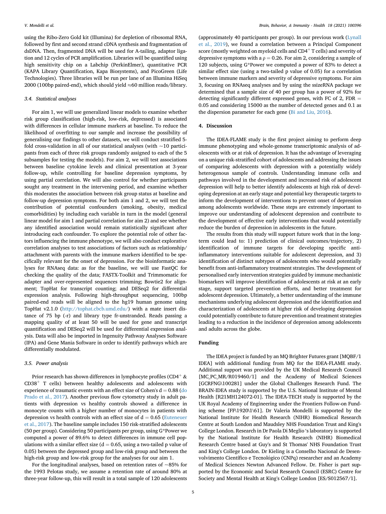using the Ribo-Zero Gold kit (Illumina) for depletion of ribosomal RNA, followed by first and second strand cDNA synthesis and fragmentation of dsDNA. Then, fragmented DNA will be used for A-tailing, adaptor ligation and 12 cycles of PCR amplification. Libraries will be quantified using high sensitivity chip on a Labchip (PerkinElmer), quantitative PCR (KAPA Library Quantification, Kapa Biosystems), and PicoGreen (Life Technologies). Three libraries will be run per lane of an Illumina HiSeq 2000 (100bp paired-end), which should yield  $\approx 60$  million reads/library.

#### 3.4. Statistical analyses

For aim 1, we will use generalized linear models to examine whether risk group classification (high-risk, low-risk, depressed) is associated with differences in cellular immune markers at baseline. To reduce the likelihood of overfitting to our sample and increase the possibility of generalising our findings to other datasets, we will conduct stratified 5 fold cross-validation in all of our statistical analyses (with  $\sim$ 10 participants from each of three risk groups randomly assigned to each of the 5 subsamples for testing the models). For aim 2, we will test associations between baseline cytokine levels and clinical presentation at 3-year follow-up, while controlling for baseline depression symptoms, by using partial correlation. We will also control for whether participants sought any treatment in the intervening period, and examine whether this moderates the association between risk group status at baseline and follow-up depression symptoms. For both aim 1 and 2, we will test the contribution of potential confounders (smoking, obesity, medical comorbidities) by including each variable in turn in the model (general linear model for aim 1 and partial correlation for aim 2) and see whether any identified association would remain statistically significant after introducing each confounder. To explore the potential role of other factors influencing the immune phenotype, we will also conduct explorative correlation analyses to test associations of factors such as relationship/ attachment with parents with the immune markers identified to be specifically relevant for the onset of depression. For the bioinformatic analyses for RNAseq data: as for the baseline, we will use FastQC for checking the quality of the data; FASTX-Toolkit and Trimmomatic for adapter and over-represented sequences trimming; Bowtie2 for alignment; TopHat for transcript counting; and DESeq2 for differential expression analysis. Following high-throughput sequencing, 100bp paired-end reads will be aligned to the hg19 human genome using TopHat v2.1.0 ([http://tophat.cbcb.umd.edu/\)](http://tophat.cbcb.umd.edu/) with a mate insert distance of 75 bp (-r) and library type fr-unstranded. Reads passing a mapping quality of at least 50 will be used for gene and transcript quantification and DESeq2 will be used for differential expression analysis. Data will also be imported in Ingenuity Pathway Analyses Software (IPA) and Gene Mania Software in order to identify pathways which are differentially modulated.

#### 3.5. Power analysis

Prior research has shown differences in lymphocyte profiles (CD4<sup>+</sup>  $\&$  $CD38<sup>+</sup>$  T cells) between healthy adolescents and adolescents with experience of traumatic events with an effect size of Cohen's  $d = 0.88$  ([do](#page-7-36) [Prado et al., 2017](#page-7-36)). Another previous flow cytometry study in adult patients with depression vs healthy controls showed a difference in monocyte counts with a higher number of monocytes in patients with depression vs health controls with an effect size of  $d = 0.65$  [\(Euteneuer](#page-7-37) [et al., 2017](#page-7-37)). The baseline sample includes 150 risk-stratified adolescents (50 per group). Considering 50 participants per group, using G\*Power we computed a power of 89.6% to detect differences in immune cell populations with a similar effect size ( $d = 0.65$ , using a two-tailed p value of 0.05) between the depressed group and low-risk group and between the high-risk group and low-risk group for the analyses for our aim 1.

For the longitudinal analyses, based on retention rates of  $\sim$ 85% for the 1993 Pelotas study, we assume a retention rate of around 80% at three-year follow-up, this will result in a total sample of 120 adolescents

(approximately 40 participants per group). In our previous work [\(Lynall](#page-7-10) [et al., 2019](#page-7-10)), we found a correlation between a Principal Component score (mostly weighted on myeloid cells and  $CD4<sup>+</sup>$  T cells) and severity of depressive symptoms with a  $\rho = 0.26$ . For aim 2, considering a sample of 120 subjects, using G\*Power we computed a power of 83% to detect a similar effect size (using a two-tailed p value of 0.05) for a correlation between immune markers and severity of depressive symptoms. For aim 3, focusing on RNAseq analyses and by using the ssizeRNA package we determined that a sample size of 40 per group has a power of 92% for detecting significantly different expressed genes, with FC of 2, FDR  $=$ 0.05 and considering 15000 as the number of detected genes and 0.1 as the dispersion parameter for each gene ([Bi and Liu, 2016](#page-7-38)).

#### 4. Discussion

The IDEA-FLAME study is the first project aiming to perform deep immune phenotyping and whole-genome transcriptomic analysis of adolescents with or at risk of depression. It has the advantage of leveraging on a unique risk-stratified cohort of adolescents and addressing the issues of comparing adolescents with depression with a potentially widely heterogenous sample of controls. Understanding immune cells and pathways involved in the development and increased risk of adolescent depression will help to better identify adolescents at high risk of developing depression at an early stage and potential key therapeutic targets to inform the development of interventions to prevent onset of depression among adolescents worldwide. These steps are extremely important to improve our understanding of adolescent depression and contribute to the development of effective early interventions that would potentially reduce the burden of depression in adolescents in the future.

The results from this study will support future work that in the longterm could lead to: 1) prediction of clinical outcomes/trajectory, 2) identification of immune targets for developing specific antiinflammatory interventions suitable for adolescent depression, and 3) identification of distinct subtypes of adolescents who would potentially benefit from anti-inflammatory treatment strategies. The development of personalised early intervention strategies guided by immune mechanistic biomarkers will improve identification of adolescents at risk at an early stage, support targeted prevention efforts, and better treatment for adolescent depression. Ultimately, a better understanding of the immune mechanisms underlying adolescent depression and the identification and characterization of adolescents at higher risk of developing depression could potentially contribute to future prevention and treatment strategies leading to a reduction in the incidence of depression among adolescents and adults across the globe.

#### Funding

The IDEA project is funded by an MQ Brighter Futures grant [MQBF/1 IDEA] with additional funding from MQ for the IDEA-FLAME study. Additional support was provided by the UK Medical Research Council [MC\_PC\_MR/R019460/1] and the Academy of Medical Sciences [GCRFNG\100281] under the Global Challenges Research Fund. The BRAIN-IDEA study is supported by the U.S. National Institute of Mental Health [R21MH124072-01]. The IDEA-TECH study is supported by the UK Royal Academy of Engineering under the Frontiers Follow-on Funding scheme [FF\1920\1\61]. Dr Valeria Mondelli is supported by the National Institute for Health Research (NIHR) Biomedical Research Centre at South London and Maudsley NHS Foundation Trust and King's College London. Research in Dr Paola Di Meglio 's laboratory is supported by the National Institute for Health Research (NIHR) Biomedical Research Centre based at Guy's and St Thomas' NHS Foundation Trust and King's College London. Dr Kieling is a Conselho Nacional de Desenvolvimento Científico e Tecnológico (CNPq) researcher and an Academy of Medical Sciences Newton Advanced Fellow. Dr. Fisher is part supported by the Economic and Social Research Council (ESRC) Centre for Society and Mental Health at King's College London [ES/S012567/1].